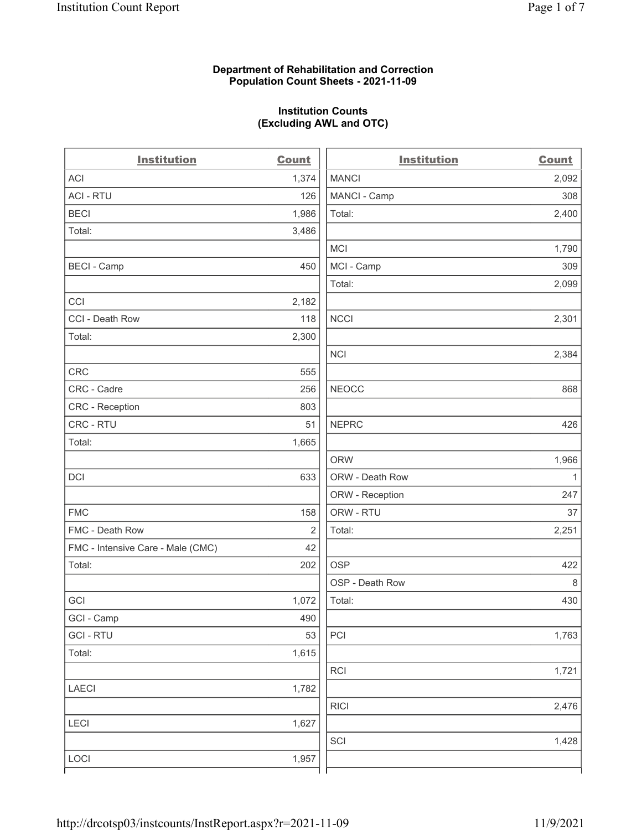### Department of Rehabilitation and Correction Population Count Sheets - 2021-11-09

## Institution Counts (Excluding AWL and OTC)

| <b>Institution</b>                | <b>Count</b> | <b>Institution</b> | <b>Count</b> |
|-----------------------------------|--------------|--------------------|--------------|
| <b>ACI</b>                        | 1,374        | <b>MANCI</b>       | 2,092        |
| <b>ACI - RTU</b>                  | 126          | MANCI - Camp       | 308          |
| <b>BECI</b>                       | 1,986        | Total:             | 2,400        |
| Total:                            | 3,486        |                    |              |
|                                   |              | MCI                | 1,790        |
| <b>BECI - Camp</b>                | 450          | MCI - Camp         | 309          |
|                                   |              | Total:             | 2,099        |
| CCI                               | 2,182        |                    |              |
| CCI - Death Row                   | 118          | <b>NCCI</b>        | 2,301        |
| Total:                            | 2,300        |                    |              |
|                                   |              | <b>NCI</b>         | 2,384        |
| <b>CRC</b>                        | 555          |                    |              |
| CRC - Cadre                       | 256          | <b>NEOCC</b>       | 868          |
| CRC - Reception                   | 803          |                    |              |
| CRC - RTU                         | 51           | <b>NEPRC</b>       | 426          |
| Total:                            | 1,665        |                    |              |
|                                   |              | <b>ORW</b>         | 1,966        |
| DCI                               | 633          | ORW - Death Row    | $\mathbf{1}$ |
|                                   |              | ORW - Reception    | 247          |
| <b>FMC</b>                        | 158          | ORW - RTU          | 37           |
| FMC - Death Row                   | 2            | Total:             | 2,251        |
| FMC - Intensive Care - Male (CMC) | 42           |                    |              |
| Total:                            | 202          | <b>OSP</b>         | 422          |
|                                   |              | OSP - Death Row    | $\,8\,$      |
| GCI                               | 1,072        | Total:             | 430          |
| GCI - Camp                        | 490          |                    |              |
| <b>GCI-RTU</b>                    | 53           | PCI                | 1,763        |
| Total:                            | 1,615        |                    |              |
|                                   |              | <b>RCI</b>         | 1,721        |
| LAECI                             | 1,782        |                    |              |
|                                   |              | <b>RICI</b>        | 2,476        |
| LECI                              | 1,627        |                    |              |
|                                   |              | SCI                | 1,428        |
| LOCI                              | 1,957        |                    |              |
|                                   |              |                    |              |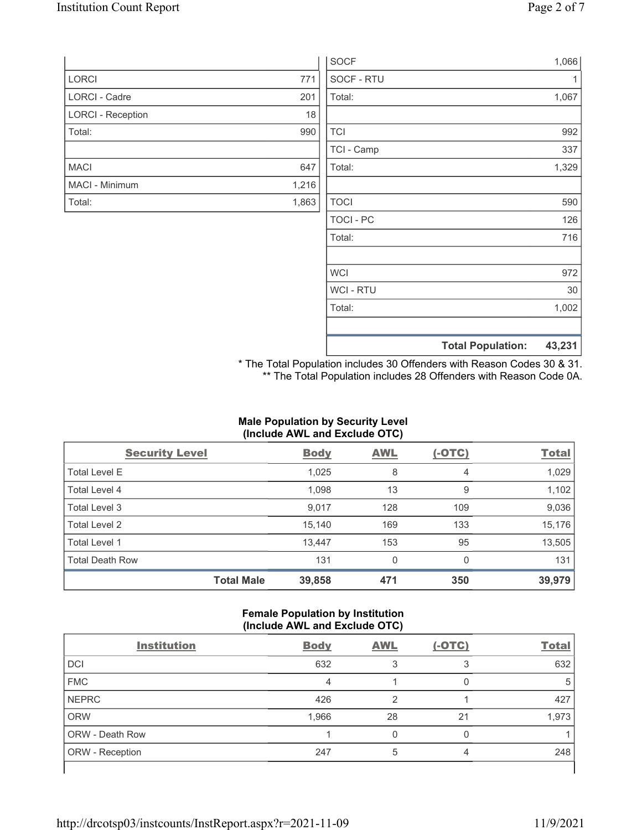|                          |       | SOCF             |                          | 1,066  |
|--------------------------|-------|------------------|--------------------------|--------|
| LORCI                    | 771   | SOCF - RTU       |                          | 1      |
| LORCI - Cadre            | 201   | Total:           |                          | 1,067  |
| <b>LORCI - Reception</b> | 18    |                  |                          |        |
| Total:                   | 990   | <b>TCI</b>       |                          | 992    |
|                          |       | TCI - Camp       |                          | 337    |
| <b>MACI</b>              | 647   | Total:           |                          | 1,329  |
| MACI - Minimum           | 1,216 |                  |                          |        |
| Total:                   | 1,863 | <b>TOCI</b>      |                          | 590    |
|                          |       | <b>TOCI - PC</b> |                          | 126    |
|                          |       | Total:           |                          | 716    |
|                          |       | <b>WCI</b>       |                          | 972    |
|                          |       | WCI - RTU        |                          | 30     |
|                          |       | Total:           |                          | 1,002  |
|                          |       |                  | <b>Total Population:</b> | 43,231 |

\* The Total Population includes 30 Offenders with Reason Codes 30 & 31. \*\* The Total Population includes 28 Offenders with Reason Code 0A.

# Male Population by Security Level (Include AWL and Exclude OTC)

| <b>Security Level</b>  |                   | <b>Body</b> | <b>AWL</b>   | $(-OTC)$ | <b>Total</b> |
|------------------------|-------------------|-------------|--------------|----------|--------------|
| <b>Total Level E</b>   |                   | 1,025       | 8            | 4        | 1,029        |
| Total Level 4          |                   | 1,098       | 13           | 9        | 1,102        |
| Total Level 3          |                   | 9,017       | 128          | 109      | 9,036        |
| Total Level 2          |                   | 15,140      | 169          | 133      | 15,176       |
| Total Level 1          |                   | 13,447      | 153          | 95       | 13,505       |
| <b>Total Death Row</b> |                   | 131         | $\mathbf{0}$ | 0        | 131          |
|                        | <b>Total Male</b> | 39,858      | 471          | 350      | 39,979       |

## Female Population by Institution (Include AWL and Exclude OTC)

| <b>Institution</b>     | <b>Body</b> | <b>AWL</b> | $(-OTC)$ | <b>Total</b> |
|------------------------|-------------|------------|----------|--------------|
| <b>DCI</b>             | 632         |            |          | 632          |
| <b>FMC</b>             | 4           |            |          | 5            |
| <b>NEPRC</b>           | 426         |            |          | 427          |
| <b>ORW</b>             | 1,966       | 28         | 21       | 1,973        |
| <b>ORW - Death Row</b> |             |            | C        |              |
| <b>ORW</b> - Reception | 247         | 5          |          | 248          |
|                        |             |            |          |              |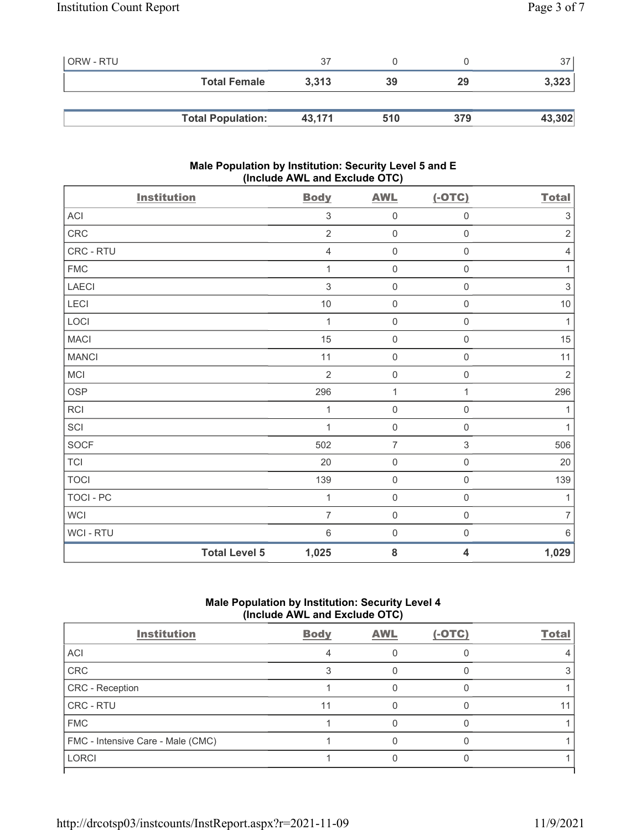| <b>ORW - RTU</b> |                          | 37     |     |     | 37     |
|------------------|--------------------------|--------|-----|-----|--------|
|                  | <b>Total Female</b>      | 3,313  | 39  | 29  | 3,323  |
|                  |                          |        |     |     |        |
|                  | <b>Total Population:</b> | 43,171 | 510 | 379 | 43,302 |

# Male Population by Institution: Security Level 5 and E (Include AWL and Exclude OTC)

| <b>Institution</b> | <b>Body</b>                   | <b>AWL</b>          | $(-OTC)$                  | <b>Total</b>   |
|--------------------|-------------------------------|---------------------|---------------------------|----------------|
| ACI                | 3                             | $\mathbf 0$         | $\mathsf{O}\xspace$       | $\mathfrak{S}$ |
| CRC                | $\overline{2}$                | $\mathbf 0$         | $\mathsf{O}\xspace$       | $\sqrt{2}$     |
| CRC - RTU          | $\overline{4}$                | $\mathbf 0$         | $\mathsf{O}\xspace$       | 4              |
| <b>FMC</b>         | 1                             | $\mathbf 0$         | $\mathsf{O}\xspace$       | 1              |
| LAECI              | 3                             | $\mathsf{O}\xspace$ | $\mathsf{O}\xspace$       | $\sqrt{3}$     |
| LECI               | $10$                          | $\mathbf 0$         | $\mathsf{O}\xspace$       | $10$           |
| LOCI               | 1                             | $\mathbf 0$         | $\mathsf{O}\xspace$       | $\mathbf{1}$   |
| <b>MACI</b>        | 15                            | $\mathbf 0$         | $\mathsf{O}\xspace$       | 15             |
| <b>MANCI</b>       | 11                            | $\mathbf 0$         | $\mathsf{O}\xspace$       | 11             |
| MCI                | $\overline{2}$                | $\mathbf 0$         | $\mathsf{O}\xspace$       | $\sqrt{2}$     |
| <b>OSP</b>         | 296                           | $\mathbf{1}$        | 1                         | 296            |
| RCI                | 1                             | $\mathbf 0$         | $\mathsf{O}\xspace$       | 1              |
| SCI                | 1                             | $\mathbf 0$         | $\mathsf{O}\xspace$       | $\mathbf{1}$   |
| SOCF               | 502                           | $\overline{7}$      | $\ensuremath{\mathsf{3}}$ | 506            |
| <b>TCI</b>         | 20                            | $\mathbf 0$         | $\mathsf{O}\xspace$       | 20             |
| <b>TOCI</b>        | 139                           | $\mathbf 0$         | $\mathsf{O}\xspace$       | 139            |
| TOCI - PC          | 1                             | $\mathbf 0$         | $\mathbf 0$               | $\mathbf{1}$   |
| WCI                | 7                             | $\mathbf 0$         | $\mathsf{O}\xspace$       | $\overline{7}$ |
| WCI - RTU          | $\,6\,$                       | $\mathbf 0$         | $\mathsf{O}\xspace$       | $\,6\,$        |
|                    | <b>Total Level 5</b><br>1,025 | ${\bf 8}$           | $\overline{\mathbf{4}}$   | 1,029          |

# Male Population by Institution: Security Level 4 (Include AWL and Exclude OTC)

| <b>Institution</b>                | <b>Body</b> | <b>AWL</b> | $(-OTC)$ | <b>Total</b> |
|-----------------------------------|-------------|------------|----------|--------------|
| ACI                               |             |            |          |              |
| CRC                               |             |            |          |              |
| CRC - Reception                   |             |            |          |              |
| CRC - RTU                         | 11          |            |          |              |
| <b>FMC</b>                        |             |            |          |              |
| FMC - Intensive Care - Male (CMC) |             |            |          |              |
| <b>LORCI</b>                      |             |            |          |              |
|                                   |             |            |          |              |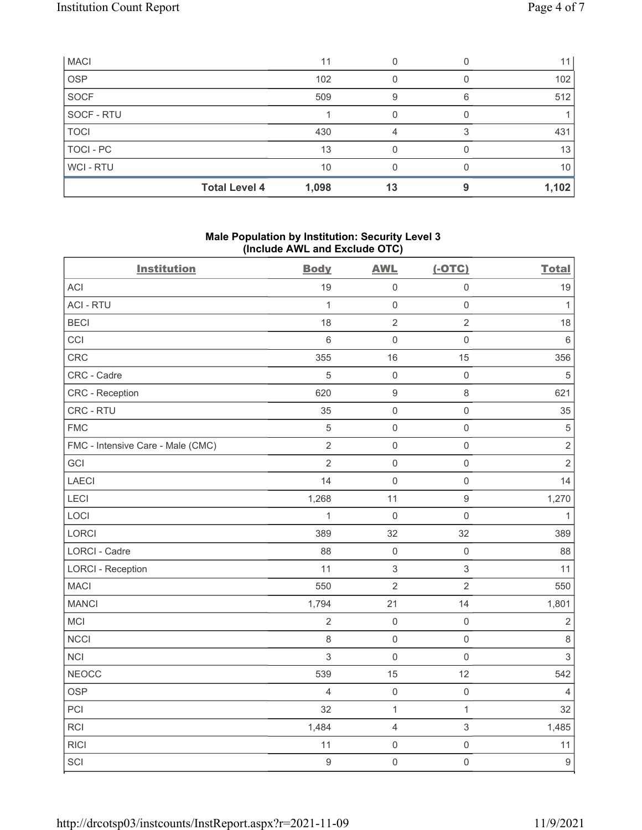| <b>MACI</b> |                      | 11    |    |   | 11    |
|-------------|----------------------|-------|----|---|-------|
| <b>OSP</b>  |                      | 102   |    |   | 102   |
| <b>SOCF</b> |                      | 509   | 9  | 6 | 512   |
| SOCF - RTU  |                      |       |    |   |       |
| <b>TOCI</b> |                      | 430   | 4  |   | 431   |
| TOCI - PC   |                      | 13    |    |   | 13    |
| WCI - RTU   |                      | 10    |    |   | 10    |
|             | <b>Total Level 4</b> | 1,098 | 13 |   | 1,102 |

# Male Population by Institution: Security Level 3 (Include AWL and Exclude OTC)

| <b>Institution</b>                | <b>Body</b>      | <b>AWL</b>          | $(-OTC)$            | <b>Total</b>              |
|-----------------------------------|------------------|---------------------|---------------------|---------------------------|
| <b>ACI</b>                        | 19               | $\mathsf{O}\xspace$ | $\mathsf{O}\xspace$ | 19                        |
| <b>ACI - RTU</b>                  | $\mathbf{1}$     | $\mathbf 0$         | $\mathsf{O}\xspace$ | $\mathbf{1}$              |
| <b>BECI</b>                       | 18               | $\sqrt{2}$          | $\sqrt{2}$          | 18                        |
| CCI                               | $\,6\,$          | $\mathbf 0$         | $\mathsf 0$         | $\,6\,$                   |
| CRC                               | 355              | 16                  | 15                  | 356                       |
| CRC - Cadre                       | 5                | $\mathbf 0$         | $\mathsf 0$         | $\,$ 5 $\,$               |
| CRC - Reception                   | 620              | $\boldsymbol{9}$    | $\,8\,$             | 621                       |
| CRC - RTU                         | 35               | $\mathbf 0$         | $\mathsf{O}\xspace$ | 35                        |
| <b>FMC</b>                        | $\sqrt{5}$       | $\mathbf 0$         | $\mathsf 0$         | $\sqrt{5}$                |
| FMC - Intensive Care - Male (CMC) | $\overline{2}$   | $\mathbf 0$         | $\mathsf{O}\xspace$ | $\sqrt{2}$                |
| GCI                               | $\overline{2}$   | $\mathbf 0$         | $\mathsf{O}\xspace$ | $\sqrt{2}$                |
| <b>LAECI</b>                      | 14               | $\mathbf 0$         | $\mathsf{O}\xspace$ | 14                        |
| LECI                              | 1,268            | 11                  | $\boldsymbol{9}$    | 1,270                     |
| LOCI                              | $\mathbf{1}$     | $\mathbf 0$         | $\mathsf{O}\xspace$ | $\mathbf{1}$              |
| LORCI                             | 389              | 32                  | 32                  | 389                       |
| LORCI - Cadre                     | 88               | $\mathbf 0$         | $\mathsf{O}\xspace$ | 88                        |
| <b>LORCI - Reception</b>          | 11               | $\sqrt{3}$          | $\sqrt{3}$          | 11                        |
| <b>MACI</b>                       | 550              | $\mathbf 2$         | $\sqrt{2}$          | 550                       |
| <b>MANCI</b>                      | 1,794            | 21                  | 14                  | 1,801                     |
| MCI                               | $\overline{2}$   | $\mathbf 0$         | $\mathsf 0$         | $\sqrt{2}$                |
| <b>NCCI</b>                       | $\,8\,$          | $\mathbf 0$         | $\mathsf{O}\xspace$ | $\,8\,$                   |
| <b>NCI</b>                        | 3                | $\mathbf 0$         | $\mathsf 0$         | $\ensuremath{\mathsf{3}}$ |
| <b>NEOCC</b>                      | 539              | 15                  | 12                  | 542                       |
| <b>OSP</b>                        | $\overline{4}$   | $\mathbf 0$         | $\mathsf{O}\xspace$ | $\overline{4}$            |
| PCI                               | 32               | $\mathbf{1}$        | $\mathbf{1}$        | 32                        |
| <b>RCI</b>                        | 1,484            | $\overline{4}$      | $\,$ 3 $\,$         | 1,485                     |
| <b>RICI</b>                       | 11               | $\mathbf 0$         | $\mathsf 0$         | 11                        |
| SCI                               | $\boldsymbol{9}$ | $\mathbf 0$         | $\mathsf{O}\xspace$ | $\boldsymbol{9}$          |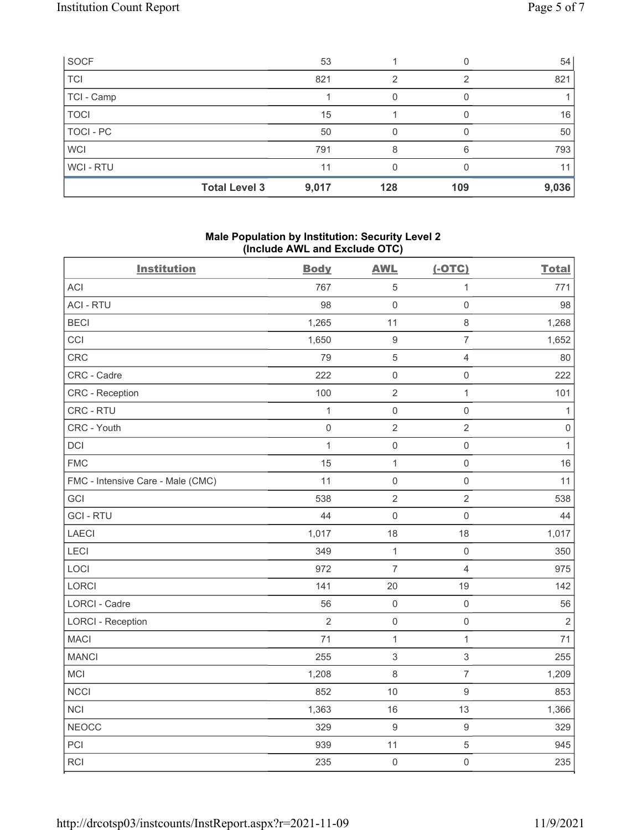| SOCF             |                      | 53    |     |     | 54    |
|------------------|----------------------|-------|-----|-----|-------|
| <b>TCI</b>       |                      | 821   | 2   | 2   | 821   |
| TCI - Camp       |                      |       |     |     |       |
| <b>TOCI</b>      |                      | 15    |     |     | 16    |
| <b>TOCI - PC</b> |                      | 50    |     |     | 50    |
| <b>WCI</b>       |                      | 791   | 8   | 6   | 793   |
| WCI - RTU        |                      | 11    |     |     | 11    |
|                  | <b>Total Level 3</b> | 9,017 | 128 | 109 | 9,036 |

# Male Population by Institution: Security Level 2 (Include AWL and Exclude OTC)

| <b>Institution</b>                | <b>Body</b>    | <b>AWL</b>       | $(-OTC)$            | <b>Total</b>   |
|-----------------------------------|----------------|------------------|---------------------|----------------|
| <b>ACI</b>                        | 767            | 5                | $\mathbf 1$         | 771            |
| <b>ACI - RTU</b>                  | 98             | $\mathbf 0$      | $\mathsf{O}\xspace$ | 98             |
| <b>BECI</b>                       | 1,265          | 11               | $\,8\,$             | 1,268          |
| CCI                               | 1,650          | $\boldsymbol{9}$ | $\overline{7}$      | 1,652          |
| CRC                               | 79             | $\overline{5}$   | $\overline{4}$      | 80             |
| CRC - Cadre                       | 222            | $\mathbf 0$      | $\mathsf 0$         | 222            |
| CRC - Reception                   | 100            | $\sqrt{2}$       | $\mathbf{1}$        | 101            |
| CRC - RTU                         | $\mathbf{1}$   | $\mathbf 0$      | $\mathsf{O}\xspace$ | 1              |
| CRC - Youth                       | $\mathsf 0$    | $\sqrt{2}$       | $\sqrt{2}$          | $\mathbf 0$    |
| DCI                               | $\mathbf{1}$   | $\mathbf 0$      | $\mathsf{O}\xspace$ | $\mathbf{1}$   |
| <b>FMC</b>                        | 15             | $\mathbf{1}$     | $\mathsf{O}\xspace$ | 16             |
| FMC - Intensive Care - Male (CMC) | 11             | $\mathbf 0$      | $\mathsf{O}\xspace$ | 11             |
| GCI                               | 538            | $\sqrt{2}$       | $\sqrt{2}$          | 538            |
| <b>GCI-RTU</b>                    | 44             | $\mathbf 0$      | $\mathsf{O}\xspace$ | 44             |
| LAECI                             | 1,017          | 18               | 18                  | 1,017          |
| LECI                              | 349            | 1                | $\mathbf 0$         | 350            |
| LOCI                              | 972            | $\overline{7}$   | $\overline{4}$      | 975            |
| LORCI                             | 141            | 20               | 19                  | 142            |
| LORCI - Cadre                     | 56             | $\mathbf 0$      | $\mathsf{O}\xspace$ | 56             |
| <b>LORCI - Reception</b>          | $\overline{2}$ | $\mathbf 0$      | $\mathsf 0$         | $\overline{2}$ |
| <b>MACI</b>                       | 71             | $\mathbf{1}$     | $\mathbf{1}$        | 71             |
| <b>MANCI</b>                      | 255            | $\sqrt{3}$       | $\sqrt{3}$          | 255            |
| MCI                               | 1,208          | $\,8\,$          | $\boldsymbol{7}$    | 1,209          |
| <b>NCCI</b>                       | 852            | 10               | $\boldsymbol{9}$    | 853            |
| <b>NCI</b>                        | 1,363          | 16               | 13                  | 1,366          |
| <b>NEOCC</b>                      | 329            | $\boldsymbol{9}$ | $\boldsymbol{9}$    | 329            |
| PCI                               | 939            | 11               | $\,$ 5 $\,$         | 945            |
| RCI                               | 235            | $\mathbf 0$      | $\mathsf{O}\xspace$ | 235            |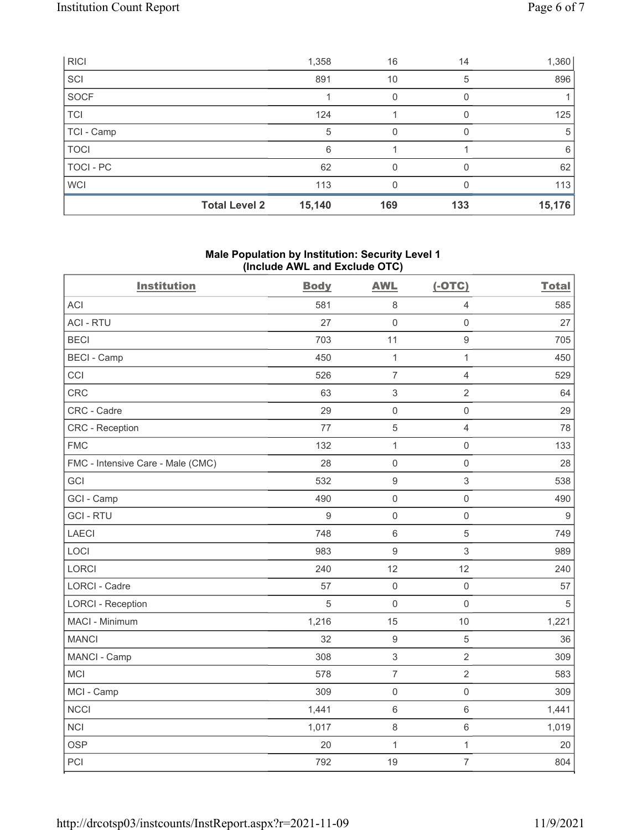| RICI             |                      | 1,358  | 16  | 14  | 1,360  |
|------------------|----------------------|--------|-----|-----|--------|
| SCI              |                      | 891    | 10  | 5   | 896    |
| SOCF             |                      |        |     |     |        |
| <b>TCI</b>       |                      | 124    |     |     | 125    |
| TCI - Camp       |                      | 5      | 0   |     | 5      |
| <b>TOCI</b>      |                      | 6      |     |     | 6      |
| <b>TOCI - PC</b> |                      | 62     | O   |     | 62     |
| <b>WCI</b>       |                      | 113    | 0   |     | 113    |
|                  | <b>Total Level 2</b> | 15,140 | 169 | 133 | 15,176 |

#### Male Population by Institution: Security Level 1 (Include AWL and Exclude OTC)

| <b>Institution</b>                | <b>Body</b>      | <b>AWL</b>                | $(-OTC)$            | <b>Total</b> |
|-----------------------------------|------------------|---------------------------|---------------------|--------------|
| <b>ACI</b>                        | 581              | $\,8\,$                   | $\overline{4}$      | 585          |
| <b>ACI - RTU</b>                  | 27               | $\mathsf{O}\xspace$       | $\mathsf{O}\xspace$ | 27           |
| <b>BECI</b>                       | 703              | 11                        | $\boldsymbol{9}$    | 705          |
| <b>BECI - Camp</b>                | 450              | $\mathbf{1}$              | $\mathbf{1}$        | 450          |
| CCI                               | 526              | $\overline{7}$            | $\overline{4}$      | 529          |
| CRC                               | 63               | $\ensuremath{\mathsf{3}}$ | $\overline{2}$      | 64           |
| CRC - Cadre                       | 29               | $\mathsf{O}\xspace$       | $\mathsf{O}\xspace$ | 29           |
| <b>CRC</b> - Reception            | 77               | $\overline{5}$            | $\overline{4}$      | 78           |
| <b>FMC</b>                        | 132              | $\mathbf{1}$              | $\mathbf 0$         | 133          |
| FMC - Intensive Care - Male (CMC) | 28               | $\mathsf 0$               | $\mathsf{O}\xspace$ | 28           |
| GCI                               | 532              | $\boldsymbol{9}$          | 3                   | 538          |
| GCI - Camp                        | 490              | $\mathsf 0$               | $\mathsf{O}\xspace$ | 490          |
| <b>GCI-RTU</b>                    | $\boldsymbol{9}$ | $\mathsf{O}\xspace$       | $\mathbf 0$         | $9$          |
| <b>LAECI</b>                      | 748              | $\,6\,$                   | 5                   | 749          |
| LOCI                              | 983              | $\boldsymbol{9}$          | 3                   | 989          |
| <b>LORCI</b>                      | 240              | 12                        | 12                  | 240          |
| LORCI - Cadre                     | 57               | $\mathsf 0$               | $\mathsf{O}\xspace$ | 57           |
| <b>LORCI - Reception</b>          | 5                | $\mathsf 0$               | $\mathbf 0$         | 5            |
| MACI - Minimum                    | 1,216            | 15                        | 10                  | 1,221        |
| <b>MANCI</b>                      | 32               | $\boldsymbol{9}$          | $\sqrt{5}$          | 36           |
| MANCI - Camp                      | 308              | $\ensuremath{\mathsf{3}}$ | $\overline{2}$      | 309          |
| MCI                               | 578              | $\overline{7}$            | $\overline{2}$      | 583          |
| MCI - Camp                        | 309              | $\mathsf 0$               | $\mathsf{O}\xspace$ | 309          |
| NCCI                              | 1,441            | $\,6\,$                   | $\,6$               | 1,441        |
| <b>NCI</b>                        | 1,017            | $\,8\,$                   | $\,6\,$             | 1,019        |
| <b>OSP</b>                        | 20               | $\mathbf 1$               | $\mathbf{1}$        | 20           |
| PCI                               | 792              | 19                        | $\overline{7}$      | 804          |